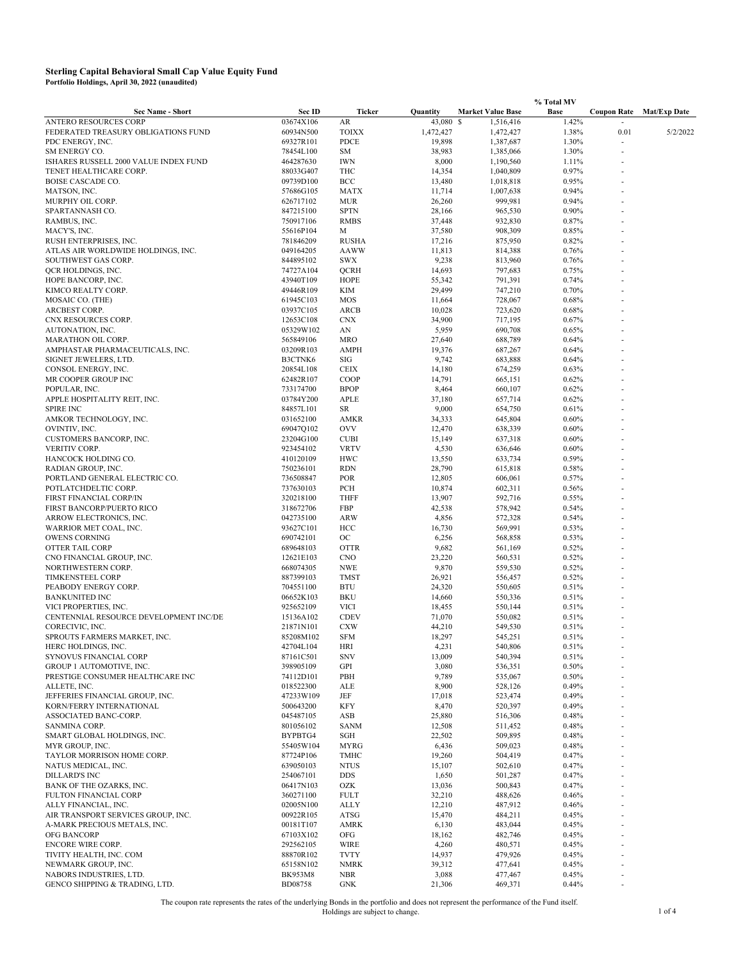|                                                                    |                        |                             |                     |                          | % Total MV     |                    |                     |
|--------------------------------------------------------------------|------------------------|-----------------------------|---------------------|--------------------------|----------------|--------------------|---------------------|
| <b>Sec Name - Short</b>                                            | Sec ID                 | Ticker                      | Quantity            | <b>Market Value Base</b> | <b>Base</b>    | <b>Coupon Rate</b> | <b>Mat/Exp Date</b> |
| ANTERO RESOURCES CORP                                              | 03674X106              | AR                          | 43,080              | -S<br>1,516,416          | 1.42%          |                    |                     |
| FEDERATED TREASURY OBLIGATIONS FUND<br>PDC ENERGY, INC.            | 60934N500<br>69327R101 | <b>TOIXX</b><br><b>PDCE</b> | 1,472,427<br>19,898 | 1,472,427<br>1,387,687   | 1.38%<br>1.30% | 0.01               | 5/2/2022            |
| SM ENERGY CO.                                                      | 78454L100              | SM                          | 38,983              | 1,385,066                | 1.30%          |                    |                     |
| ISHARES RUSSELL 2000 VALUE INDEX FUND                              | 464287630              | <b>IWN</b>                  | 8,000               | 1,190,560                | 1.11%          |                    |                     |
| TENET HEALTHCARE CORP.                                             | 88033G407              | THC                         | 14,354              | 1,040,809                | 0.97%          |                    |                     |
| BOISE CASCADE CO.                                                  | 09739D100              | BCC                         | 13,480              | 1,018,818                | 0.95%          |                    |                     |
| MATSON, INC.<br>MURPHY OIL CORP.                                   | 57686G105<br>626717102 | <b>MATX</b><br><b>MUR</b>   | 11,714<br>26,260    | 1,007,638<br>999,981     | 0.94%<br>0.94% |                    |                     |
| SPARTANNASH CO.                                                    | 847215100              | <b>SPTN</b>                 | 28,166              | 965,530                  | 0.90%          |                    |                     |
| RAMBUS, INC.                                                       | 750917106              | <b>RMBS</b>                 | 37,448              | 932,830                  | 0.87%          |                    |                     |
| MACY'S, INC.                                                       | 55616P104              | M                           | 37,580              | 908,309                  | 0.85%          |                    |                     |
| RUSH ENTERPRISES, INC.                                             | 781846209              | <b>RUSHA</b>                | 17,216              | 875,950                  | 0.82%          |                    |                     |
| ATLAS AIR WORLDWIDE HOLDINGS, INC.<br>SOUTHWEST GAS CORP.          | 049164205<br>844895102 | <b>AAWW</b><br><b>SWX</b>   | 11,813<br>9,238     | 814,388<br>813,960       | 0.76%<br>0.76% |                    |                     |
| QCR HOLDINGS, INC.                                                 | 74727A104              | <b>QCRH</b>                 | 14,693              | 797,683                  | 0.75%          |                    |                     |
| HOPE BANCORP, INC.                                                 | 43940T109              | HOPE                        | 55,342              | 791,391                  | 0.74%          |                    |                     |
| KIMCO REALTY CORP.                                                 | 49446R109              | KIM                         | 29,499              | 747,210                  | 0.70%          |                    |                     |
| MOSAIC CO. (THE)                                                   | 61945C103              | MOS                         | 11,664              | 728,067                  | 0.68%          |                    |                     |
| ARCBEST CORP.<br>CNX RESOURCES CORP.                               | 03937C105<br>12653C108 | ARCB<br><b>CNX</b>          | 10,028<br>34,900    | 723,620<br>717,195       | 0.68%<br>0.67% |                    |                     |
| AUTONATION, INC.                                                   | 05329W102              | AN                          | 5,959               | 690,708                  | 0.65%          |                    |                     |
| MARATHON OIL CORP.                                                 | 565849106              | <b>MRO</b>                  | 27,640              | 688,789                  | 0.64%          |                    |                     |
| AMPHASTAR PHARMACEUTICALS, INC.                                    | 03209R103              | AMPH                        | 19,376              | 687,267                  | 0.64%          |                    |                     |
| SIGNET JEWELERS, LTD.                                              | B3CTNK6                | SIG                         | 9,742               | 683,888                  | 0.64%          |                    |                     |
| CONSOL ENERGY, INC.                                                | 20854L108              | <b>CEIX</b>                 | 14,180              | 674,259                  | 0.63%          |                    |                     |
| MR COOPER GROUP INC<br>POPULAR, INC.                               | 62482R107<br>733174700 | COOP<br><b>BPOP</b>         | 14,791<br>8,464     | 665,151<br>660,107       | 0.62%<br>0.62% |                    |                     |
| APPLE HOSPITALITY REIT, INC.                                       | 03784Y200              | APLE                        | 37,180              | 657,714                  | 0.62%          |                    |                     |
| <b>SPIRE INC</b>                                                   | 84857L101              | <b>SR</b>                   | 9,000               | 654,750                  | 0.61%          |                    |                     |
| AMKOR TECHNOLOGY, INC.                                             | 031652100              | AMKR                        | 34,333              | 645,804                  | 0.60%          |                    |                     |
| OVINTIV, INC.                                                      | 69047Q102              | <b>OVV</b>                  | 12,470              | 638,339                  | 0.60%          |                    |                     |
| CUSTOMERS BANCORP, INC.<br>VERITIV CORP.                           | 23204G100<br>923454102 | <b>CUBI</b><br><b>VRTV</b>  | 15,149<br>4,530     | 637,318<br>636,646       | 0.60%<br>0.60% |                    |                     |
| HANCOCK HOLDING CO.                                                | 410120109              | <b>HWC</b>                  | 13,550              | 633,734                  | 0.59%          |                    |                     |
| RADIAN GROUP, INC.                                                 | 750236101              | <b>RDN</b>                  | 28,790              | 615,818                  | 0.58%          |                    |                     |
| PORTLAND GENERAL ELECTRIC CO.                                      | 736508847              | <b>POR</b>                  | 12,805              | 606,061                  | 0.57%          |                    |                     |
| POTLATCHDELTIC CORP.                                               | 737630103              | PCH                         | 10,874              | 602,311                  | 0.56%          |                    |                     |
| FIRST FINANCIAL CORP/IN                                            | 320218100              | <b>THFF</b>                 | 13,907              | 592,716                  | 0.55%          |                    |                     |
| FIRST BANCORP/PUERTO RICO<br>ARROW ELECTRONICS, INC.               | 318672706<br>042735100 | FBP<br><b>ARW</b>           | 42,538<br>4,856     | 578,942<br>572,328       | 0.54%<br>0.54% |                    |                     |
| WARRIOR MET COAL, INC.                                             | 93627C101              | HCC                         | 16,730              | 569,991                  | 0.53%          |                    |                     |
| OWENS CORNING                                                      | 690742101              | OC                          | 6,256               | 568,858                  | 0.53%          |                    |                     |
| OTTER TAIL CORP                                                    | 689648103              | <b>OTTR</b>                 | 9,682               | 561,169                  | 0.52%          |                    |                     |
| CNO FINANCIAL GROUP, INC.                                          | 12621E103              | <b>CNO</b>                  | 23,220              | 560,531                  | 0.52%          |                    |                     |
| NORTHWESTERN CORP.<br><b>TIMKENSTEEL CORP</b>                      | 668074305<br>887399103 | <b>NWE</b><br><b>TMST</b>   | 9,870<br>26,921     | 559,530<br>556,457       | 0.52%<br>0.52% |                    |                     |
| PEABODY ENERGY CORP.                                               | 704551100              | <b>BTU</b>                  | 24,320              | 550,605                  | 0.51%          |                    |                     |
| BANKUNITED INC                                                     | 06652K103              | BKU                         | 14,660              | 550,336                  | 0.51%          |                    |                     |
| VICI PROPERTIES, INC.                                              | 925652109              | VICI                        | 18,455              | 550,144                  | 0.51%          |                    |                     |
| CENTENNIAL RESOURCE DEVELOPMENT INC/DE                             | 15136A102              | <b>CDEV</b>                 | 71,070              | 550,082                  | 0.51%          |                    |                     |
| CORECIVIC, INC.<br>SPROUTS FARMERS MARKET, INC.                    | 21871N101<br>85208M102 | <b>CXW</b><br><b>SFM</b>    | 44,210<br>18,297    | 549,530<br>545,251       | 0.51%<br>0.51% |                    |                     |
| HERC HOLDINGS, INC.                                                | 42704L104              | <b>HRI</b>                  | 4,231               | 540,806                  | 0.51%          |                    |                     |
| SYNOVUS FINANCIAL CORP                                             | 87161C501              | <b>SNV</b>                  | 13,009              | 540,394                  | 0.51%          |                    |                     |
| GROUP 1 AUTOMOTIVE, INC.                                           | 398905109              | GPI                         | 3,080               | 536,351                  | 0.50%          |                    |                     |
| PRESTIGE CONSUMER HEALTHCARE INC                                   | 74112D101              | PBH                         | 9,789               | 535,067                  | 0.50%          |                    |                     |
| ALLETE, INC.<br>JEFFERIES FINANCIAL GROUP, INC.                    | 018522300<br>47233W109 | ALE<br>JEF                  | 8,900<br>17,018     | 528,126<br>523,474       | 0.49%<br>0.49% |                    |                     |
| KORN/FERRY INTERNATIONAL                                           | 500643200              | <b>KFY</b>                  | 8,470               | 520,397                  | 0.49%          |                    |                     |
| ASSOCIATED BANC-CORP.                                              | 045487105              | ASB                         | 25,880              | 516,306                  | 0.48%          |                    |                     |
| SANMINA CORP.                                                      | 801056102              | <b>SANM</b>                 | 12,508              | 511,452                  | 0.48%          |                    |                     |
| SMART GLOBAL HOLDINGS, INC.                                        | BYPBTG4                | SGH                         | 22,502              | 509,895                  | 0.48%          |                    |                     |
| MYR GROUP, INC.                                                    | 55405W104              | MYRG                        | 6,436               | 509,023                  | 0.48%          |                    |                     |
| TAYLOR MORRISON HOME CORP.<br>NATUS MEDICAL, INC.                  | 87724P106<br>639050103 | <b>TMHC</b><br><b>NTUS</b>  | 19,260<br>15,107    | 504,419<br>502,610       | 0.47%<br>0.47% |                    |                     |
| <b>DILLARD'S INC</b>                                               | 254067101              | <b>DDS</b>                  | 1,650               | 501,287                  | 0.47%          |                    |                     |
| BANK OF THE OZARKS, INC.                                           | 06417N103              | OZK                         | 13,036              | 500,843                  | 0.47%          |                    |                     |
| FULTON FINANCIAL CORP                                              | 360271100              | <b>FULT</b>                 | 32,210              | 488,626                  | 0.46%          |                    |                     |
| ALLY FINANCIAL, INC.                                               | 02005N100              | ALLY                        | 12,210              | 487,912                  | 0.46%          |                    |                     |
| AIR TRANSPORT SERVICES GROUP, INC.<br>A-MARK PRECIOUS METALS, INC. | 00922R105<br>00181T107 | ATSG<br><b>AMRK</b>         | 15,470<br>6,130     | 484,211<br>483,044       | 0.45%<br>0.45% |                    |                     |
| OFG BANCORP                                                        | 67103X102              | OFG                         | 18,162              | 482,746                  | 0.45%          |                    |                     |
| ENCORE WIRE CORP.                                                  | 292562105              | <b>WIRE</b>                 | 4,260               | 480,571                  | 0.45%          |                    |                     |
| TIVITY HEALTH, INC. COM                                            | 88870R102              | <b>TVTY</b>                 | 14,937              | 479,926                  | 0.45%          |                    |                     |
| NEWMARK GROUP, INC.                                                | 65158N102              | <b>NMRK</b>                 | 39,312              | 477,641                  | 0.45%          |                    |                     |
| NABORS INDUSTRIES, LTD.                                            | <b>BK953M8</b>         | <b>NBR</b>                  | 3,088               | 477,467                  | 0.45%          |                    |                     |
| GENCO SHIPPING & TRADING, LTD.                                     | <b>BD08758</b>         | <b>GNK</b>                  | 21,306              | 469,371                  | 0.44%          |                    |                     |

The coupon rate represents the rates of the underlying Bonds in the portfolio and does not represent the performance of the Fund itself.<br>1 of 4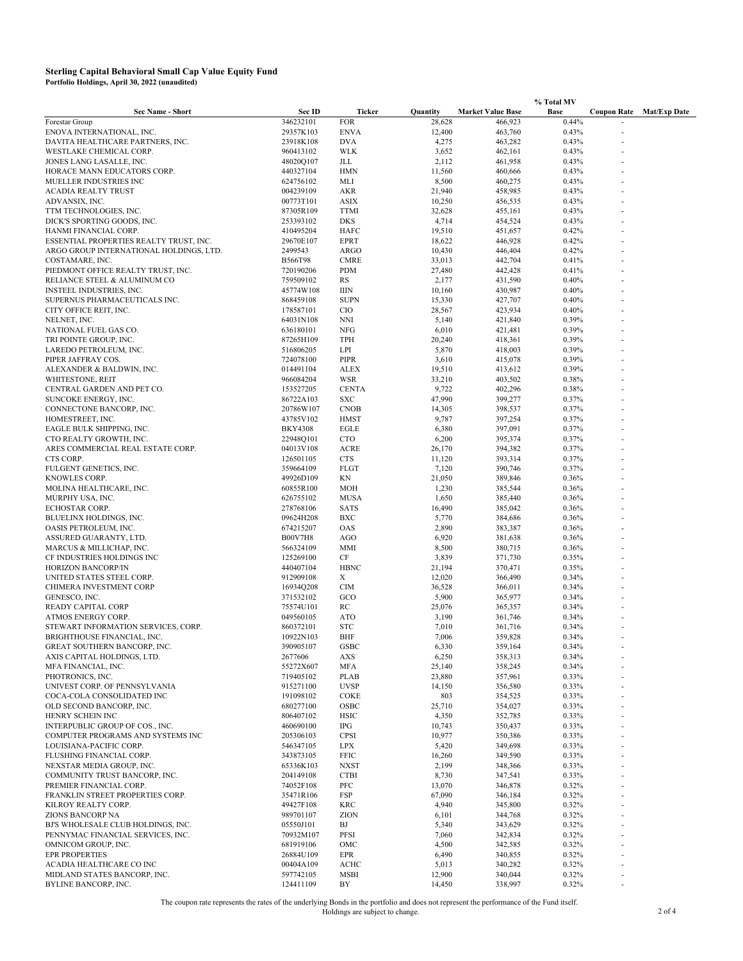|                                                         |                             |                          |                 |                          | % Total MV     |                    |                     |  |
|---------------------------------------------------------|-----------------------------|--------------------------|-----------------|--------------------------|----------------|--------------------|---------------------|--|
| <b>Sec Name - Short</b>                                 | Sec ID                      | Ticker                   | Quantity        | <b>Market Value Base</b> | Base           | <b>Coupon Rate</b> | <b>Mat/Exp Date</b> |  |
| Forestar Group                                          | 346232101                   | <b>FOR</b>               | 28,628          | 466,923                  | 0.44%          |                    |                     |  |
| ENOVA INTERNATIONAL, INC.                               | 29357K103                   | <b>ENVA</b>              | 12,400          | 463,760                  | 0.43%          |                    |                     |  |
| DAVITA HEALTHCARE PARTNERS, INC.                        | 23918K108                   | <b>DVA</b>               | 4,275           | 463,282                  | 0.43%          |                    |                     |  |
| WESTLAKE CHEMICAL CORP.                                 | 960413102                   | <b>WLK</b>               | 3,652           | 462,161                  | 0.43%          |                    |                     |  |
| JONES LANG LASALLE, INC.<br>HORACE MANN EDUCATORS CORP. | 48020Q107<br>440327104      | <b>JLL</b><br><b>HMN</b> | 2,112<br>11,560 | 461,958                  | 0.43%<br>0.43% |                    |                     |  |
| MUELLER INDUSTRIES INC                                  | 624756102                   | MLI                      | 8,500           | 460,666<br>460,275       | 0.43%          |                    |                     |  |
| ACADIA REALTY TRUST                                     | 004239109                   | AKR                      | 21,940          | 458,985                  | 0.43%          |                    |                     |  |
| ADVANSIX, INC.                                          | 00773T101                   | ASIX                     | 10,250          | 456,535                  | 0.43%          |                    |                     |  |
| TTM TECHNOLOGIES, INC.                                  | 87305R109                   | <b>TTMI</b>              | 32,628          | 455,161                  | 0.43%          |                    |                     |  |
| DICK'S SPORTING GOODS, INC.                             | 253393102                   | <b>DKS</b>               | 4,714           | 454,524                  | 0.43%          |                    |                     |  |
| HANMI FINANCIAL CORP.                                   | 410495204                   | HAFC                     | 19,510          | 451,657                  | 0.42%          |                    |                     |  |
| ESSENTIAL PROPERTIES REALTY TRUST, INC.                 | 29670E107                   | <b>EPRT</b>              | 18,622          | 446,928                  | 0.42%          |                    |                     |  |
| ARGO GROUP INTERNATIONAL HOLDINGS, LTD.                 | 2499543                     | ARGO                     | 10,430          | 446,404                  | 0.42%          |                    |                     |  |
| COSTAMARE, INC.                                         | <b>B566T98</b>              | <b>CMRE</b>              | 33,013          | 442,704                  | 0.41%          |                    |                     |  |
| PIEDMONT OFFICE REALTY TRUST, INC.                      | 720190206                   | <b>PDM</b>               | 27,480          | 442,428                  | 0.41%          |                    |                     |  |
| RELIANCE STEEL & ALUMINUM CO                            | 759509102                   | RS                       | 2,177           | 431,590                  | 0.40%          |                    |                     |  |
| <b>INSTEEL INDUSTRIES, INC.</b>                         | 45774W108                   | <b>IIIN</b>              | 10,160          | 430,987                  | 0.40%          |                    |                     |  |
| SUPERNUS PHARMACEUTICALS INC.                           | 868459108                   | <b>SUPN</b>              | 15,330          | 427,707                  | 0.40%          |                    |                     |  |
| CITY OFFICE REIT, INC.                                  | 178587101                   | CIO                      | 28,567          | 423,934                  | 0.40%          |                    |                     |  |
| NELNET, INC.                                            | 64031N108                   | <b>NNI</b>               | 5,140           | 421,840                  | 0.39%          |                    |                     |  |
| NATIONAL FUEL GAS CO.                                   | 636180101<br>87265H109      | NFG                      | 6,010           | 421,481                  | 0.39%          |                    |                     |  |
| TRI POINTE GROUP, INC.                                  | 516806205                   | <b>TPH</b><br>LPI        | 20,240          | 418,361                  | 0.39%<br>0.39% |                    |                     |  |
| LAREDO PETROLEUM, INC.<br>PIPER JAFFRAY COS.            | 724078100                   | PIPR                     | 5,870<br>3,610  | 418,003<br>415,078       | 0.39%          |                    |                     |  |
| ALEXANDER & BALDWIN, INC.                               | 014491104                   | <b>ALEX</b>              | 19,510          | 413,612                  | 0.39%          |                    |                     |  |
| WHITESTONE, REIT                                        | 966084204                   | <b>WSR</b>               | 33,210          | 403,502                  | 0.38%          |                    |                     |  |
| CENTRAL GARDEN AND PET CO.                              | 153527205                   | <b>CENTA</b>             | 9,722           | 402,296                  | 0.38%          |                    |                     |  |
| SUNCOKE ENERGY, INC.                                    | 86722A103                   | <b>SXC</b>               | 47,990          | 399,277                  | 0.37%          |                    |                     |  |
| CONNECTONE BANCORP, INC.                                | 20786W107                   | <b>CNOB</b>              | 14,305          | 398,537                  | 0.37%          |                    |                     |  |
| HOMESTREET, INC.                                        | 43785V102                   | <b>HMST</b>              | 9,787           | 397,254                  | 0.37%          |                    |                     |  |
| EAGLE BULK SHIPPING, INC.                               | <b>BKY4308</b>              | EGLE                     | 6,380           | 397,091                  | 0.37%          |                    |                     |  |
| CTO REALTY GROWTH, INC.                                 | 22948Q101                   | <b>CTO</b>               | 6,200           | 395,374                  | 0.37%          |                    |                     |  |
| ARES COMMERCIAL REAL ESTATE CORP.                       | 04013V108                   | <b>ACRE</b>              | 26,170          | 394,382                  | 0.37%          |                    |                     |  |
| CTS CORP.                                               | 126501105                   | <b>CTS</b>               | 11,120          | 393,314                  | 0.37%          |                    |                     |  |
| FULGENT GENETICS, INC.                                  | 359664109                   | <b>FLGT</b>              | 7,120           | 390,746                  | 0.37%          |                    |                     |  |
| KNOWLES CORP.                                           | 49926D109                   | ΚN                       | 21,050          | 389,846                  | 0.36%          |                    |                     |  |
| MOLINA HEALTHCARE, INC.                                 | 60855R100                   | MOH                      | 1,230           | 385,544                  | 0.36%          |                    |                     |  |
| MURPHY USA, INC.                                        | 626755102                   | <b>MUSA</b>              | 1,650           | 385,440                  | 0.36%          |                    |                     |  |
| ECHOSTAR CORP.                                          | 278768106                   | <b>SATS</b>              | 16,490          | 385,042                  | 0.36%          |                    |                     |  |
| BLUELINX HOLDINGS, INC.                                 | 09624H208                   | <b>BXC</b>               | 5,770           | 384,686                  | 0.36%          |                    |                     |  |
| OASIS PETROLEUM, INC.                                   | 674215207                   | OAS                      | 2,890           | 383,387                  | 0.36%          |                    |                     |  |
| ASSURED GUARANTY, LTD.<br>MARCUS & MILLICHAP, INC.      | <b>B00V7H8</b><br>566324109 | AGO<br>MMI               | 6,920<br>8,500  | 381,638                  | 0.36%<br>0.36% |                    |                     |  |
| CF INDUSTRIES HOLDINGS INC                              | 125269100                   | CF                       | 3,839           | 380,715<br>371,730       | 0.35%          |                    |                     |  |
| HORIZON BANCORP/IN                                      | 440407104                   | <b>HBNC</b>              | 21,194          | 370,471                  | 0.35%          |                    |                     |  |
| UNITED STATES STEEL CORP.                               | 912909108                   | X                        | 12,020          | 366,490                  | 0.34%          |                    |                     |  |
| CHIMERA INVESTMENT CORP                                 | 16934Q208                   | <b>CIM</b>               | 36,528          | 366,011                  | 0.34%          |                    |                     |  |
| GENESCO, INC.                                           | 371532102                   | GCO                      | 5,900           | 365,977                  | 0.34%          |                    |                     |  |
| READY CAPITAL CORP                                      | 75574U101                   | RC                       | 25,076          | 365,357                  | 0.34%          |                    |                     |  |
| ATMOS ENERGY CORP.                                      | 049560105                   | <b>ATO</b>               | 3,190           | 361,746                  | 0.34%          |                    |                     |  |
| STEWART INFORMATION SERVICES, CORP.                     | 860372101                   | <b>STC</b>               | 7,010           | 361,716                  | 0.34%          |                    |                     |  |
| BRIGHTHOUSE FINANCIAL, INC.                             | 10922N103                   | BHF                      | 7,006           | 359,828                  | 0.34%          |                    |                     |  |
| GREAT SOUTHERN BANCORP, INC.                            | 390905107                   | GSBC                     | 6,330           | 359,164                  | 0.34%          |                    |                     |  |
| AXIS CAPITAL HOLDINGS, LTD.                             | 2677606                     | AXS                      | 6,250           | 358,313                  | 0.34%          |                    |                     |  |
| MFA FINANCIAL, INC.                                     | 55272X607                   | MFA                      | 25,140          | 358,245                  | 0.34%          |                    |                     |  |
| PHOTRONICS, INC.                                        | 719405102                   | <b>PLAB</b>              | 23,880          | 357,961                  | 0.33%          |                    |                     |  |
| UNIVEST CORP. OF PENNSYLVANIA                           | 915271100                   | <b>UVSP</b>              | 14,150          | 356,580                  | 0.33%          |                    |                     |  |
| COCA-COLA CONSOLIDATED INC                              | 191098102                   | COKE                     | 803             | 354,525                  | 0.33%          |                    |                     |  |
| OLD SECOND BANCORP, INC.<br>HENRY SCHEIN INC            | 680277100<br>806407102      | OSBC<br><b>HSIC</b>      | 25,710<br>4,350 | 354,027<br>352,785       | 0.33%<br>0.33% |                    |                     |  |
| INTERPUBLIC GROUP OF COS., INC.                         | 460690100                   | IPG                      | 10,743          | 350,437                  | 0.33%          |                    |                     |  |
| COMPUTER PROGRAMS AND SYSTEMS INC                       | 205306103                   | <b>CPSI</b>              | 10,977          | 350,386                  | 0.33%          |                    |                     |  |
| LOUISIANA-PACIFIC CORP.                                 | 546347105                   | <b>LPX</b>               | 5,420           | 349,698                  | 0.33%          |                    |                     |  |
| FLUSHING FINANCIAL CORP.                                | 343873105                   | <b>FFIC</b>              | 16,260          | 349,590                  | 0.33%          |                    |                     |  |
| NEXSTAR MEDIA GROUP, INC.                               | 65336K103                   | <b>NXST</b>              | 2,199           | 348,366                  | 0.33%          |                    |                     |  |
| COMMUNITY TRUST BANCORP, INC.                           | 204149108                   | <b>CTBI</b>              | 8,730           | 347,541                  | 0.33%          |                    |                     |  |
| PREMIER FINANCIAL CORP.                                 | 74052F108                   | PFC                      | 13,070          | 346,878                  | 0.32%          |                    |                     |  |
| FRANKLIN STREET PROPERTIES CORP.                        | 35471R106                   | FSP                      | 67,090          | 346,184                  | 0.32%          |                    |                     |  |
| KILROY REALTY CORP.                                     | 49427F108                   | <b>KRC</b>               | 4,940           | 345,800                  | 0.32%          |                    |                     |  |
| ZIONS BANCORP NA                                        | 989701107                   | ZION                     | 6,101           | 344,768                  | 0.32%          |                    |                     |  |
| BJ'S WHOLESALE CLUB HOLDINGS, INC.                      | 05550J101                   | BJ                       | 5,340           | 343,629                  | 0.32%          |                    |                     |  |
| PENNYMAC FINANCIAL SERVICES, INC.                       | 70932M107                   | PFSI                     | 7,060           | 342,834                  | 0.32%          |                    |                     |  |
| OMNICOM GROUP, INC.                                     | 681919106                   | OMC                      | 4,500           | 342,585                  | 0.32%          |                    |                     |  |
| <b>EPR PROPERTIES</b>                                   | 26884U109                   | EPR                      | 6,490           | 340,855                  | 0.32%          |                    |                     |  |
| ACADIA HEALTHCARE CO INC                                | 00404A109                   | ACHC                     | 5,013           | 340,282                  | 0.32%          |                    |                     |  |
| MIDLAND STATES BANCORP, INC.<br>BYLINE BANCORP, INC.    | 597742105                   | <b>MSBI</b>              | 12,900          | 340,044                  | 0.32%          |                    |                     |  |
|                                                         | 124411109                   | BY                       | 14,450          | 338,997                  | 0.32%          |                    |                     |  |

The coupon rate represents the rates of the underlying Bonds in the portfolio and does not represent the performance of the Fund itself.<br>2 of 4<br>2 of 4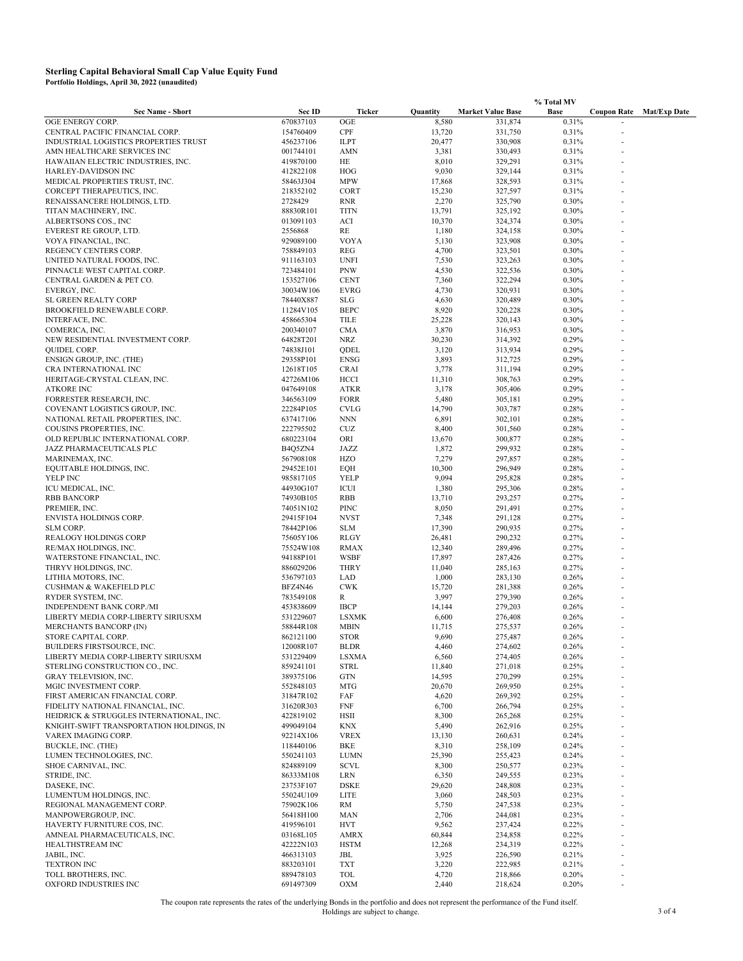|                                                       |                        |                           |                  | % Total MV               |                |                    |                     |
|-------------------------------------------------------|------------------------|---------------------------|------------------|--------------------------|----------------|--------------------|---------------------|
| <b>Sec Name - Short</b>                               | Sec ID                 | Ticker                    | Quantity         | <b>Market Value Base</b> | Base           | <b>Coupon Rate</b> | <b>Mat/Exp Date</b> |
| OGE ENERGY CORP.                                      | 670837103              | OGE                       | 8,580            | 331,874                  | 0.31%          |                    |                     |
| CENTRAL PACIFIC FINANCIAL CORP.                       | 154760409              | CPF                       | 13,720           | 331,750                  | 0.31%          |                    |                     |
| INDUSTRIAL LOGISTICS PROPERTIES TRUST                 | 456237106              | <b>ILPT</b>               | 20,477           | 330,908                  | 0.31%          |                    |                     |
| AMN HEALTHCARE SERVICES INC                           | 001744101              | AMN                       | 3,381            | 330,493                  | 0.31%          |                    |                     |
| HAWAIIAN ELECTRIC INDUSTRIES, INC.                    | 419870100              | HE                        | 8,010            | 329,291                  | 0.31%          |                    |                     |
| HARLEY-DAVIDSON INC<br>MEDICAL PROPERTIES TRUST, INC. | 412822108<br>58463J304 | HOG<br><b>MPW</b>         | 9,030<br>17,868  | 329,144<br>328,593       | 0.31%<br>0.31% |                    |                     |
| CORCEPT THERAPEUTICS, INC.                            | 218352102              | CORT                      | 15,230           | 327,597                  | 0.31%          |                    |                     |
| RENAISSANCERE HOLDINGS, LTD.                          | 2728429                | <b>RNR</b>                | 2,270            | 325,790                  | 0.30%          |                    |                     |
| TITAN MACHINERY, INC.                                 | 88830R101              | <b>TITN</b>               | 13,791           | 325,192                  | 0.30%          |                    |                     |
| ALBERTSONS COS., INC                                  | 013091103              | ACI                       | 10,370           | 324,374                  | 0.30%          |                    |                     |
| EVEREST RE GROUP, LTD.                                | 2556868                | RE                        | 1,180            | 324,158                  | 0.30%          |                    |                     |
| VOYA FINANCIAL, INC.                                  | 929089100              | <b>VOYA</b>               | 5,130            | 323,908                  | 0.30%          |                    |                     |
| REGENCY CENTERS CORP.                                 | 758849103              | <b>REG</b>                | 4,700            | 323,501                  | 0.30%          |                    |                     |
| UNITED NATURAL FOODS, INC.                            | 911163103              | <b>UNFI</b>               | 7,530            | 323,263                  | 0.30%          |                    |                     |
| PINNACLE WEST CAPITAL CORP.                           | 723484101              | <b>PNW</b>                | 4,530            | 322,536                  | 0.30%          |                    |                     |
| CENTRAL GARDEN & PET CO.                              | 153527106              | <b>CENT</b>               | 7,360            | 322,294                  | 0.30%          |                    |                     |
| EVERGY, INC.                                          | 30034W106              | <b>EVRG</b>               | 4,730            | 320,931                  | 0.30%          |                    |                     |
| SL GREEN REALTY CORP<br>BROOKFIELD RENEWABLE CORP.    | 78440X887<br>11284V105 | <b>SLG</b><br><b>BEPC</b> | 4,630<br>8,920   | 320,489                  | 0.30%<br>0.30% |                    |                     |
| INTERFACE, INC.                                       | 458665304              | TILE                      | 25,228           | 320,228<br>320,143       | 0.30%          |                    |                     |
| COMERICA, INC.                                        | 200340107              | <b>CMA</b>                | 3,870            | 316,953                  | 0.30%          |                    |                     |
| NEW RESIDENTIAL INVESTMENT CORP.                      | 64828T201              | <b>NRZ</b>                | 30,230           | 314,392                  | 0.29%          |                    |                     |
| QUIDEL CORP.                                          | 74838J101              | QDEL                      | 3,120            | 313,934                  | 0.29%          |                    |                     |
| ENSIGN GROUP, INC. (THE)                              | 29358P101              | <b>ENSG</b>               | 3,893            | 312,725                  | 0.29%          |                    |                     |
| CRA INTERNATIONAL INC                                 | 12618T105              | <b>CRAI</b>               | 3,778            | 311,194                  | 0.29%          |                    |                     |
| HERITAGE-CRYSTAL CLEAN, INC.                          | 42726M106              | HCCI                      | 11,310           | 308,763                  | 0.29%          |                    |                     |
| <b>ATKORE INC</b>                                     | 047649108              | ATKR                      | 3,178            | 305,406                  | 0.29%          |                    |                     |
| FORRESTER RESEARCH, INC.                              | 346563109              | <b>FORR</b>               | 5,480            | 305,181                  | 0.29%          |                    |                     |
| COVENANT LOGISTICS GROUP, INC.                        | 22284P105              | <b>CVLG</b>               | 14,790           | 303,787                  | 0.28%          |                    |                     |
| NATIONAL RETAIL PROPERTIES, INC.                      | 637417106              | <b>NNN</b>                | 6,891            | 302,101                  | 0.28%          |                    |                     |
| COUSINS PROPERTIES, INC.                              | 222795502              | <b>CUZ</b>                | 8,400            | 301,560                  | 0.28%          |                    |                     |
| OLD REPUBLIC INTERNATIONAL CORP.                      | 680223104              | ORI                       | 13,670           | 300,877                  | 0.28%          |                    |                     |
| JAZZ PHARMACEUTICALS PLC                              | B4Q5ZN4                | JAZZ<br><b>HZO</b>        | 1,872            | 299,932                  | 0.28%          |                    |                     |
| MARINEMAX, INC.<br>EQUITABLE HOLDINGS, INC.           | 567908108<br>29452E101 | EQH                       | 7,279<br>10,300  | 297,857<br>296,949       | 0.28%<br>0.28% |                    |                     |
| YELP INC                                              | 985817105              | YELP                      | 9,094            | 295,828                  | 0.28%          |                    |                     |
| ICU MEDICAL, INC.                                     | 44930G107              | ICUI                      | 1,380            | 295,306                  | 0.28%          |                    |                     |
| <b>RBB BANCORP</b>                                    | 74930B105              | <b>RBB</b>                | 13,710           | 293,257                  | 0.27%          |                    |                     |
| PREMIER, INC.                                         | 74051N102              | PINC                      | 8,050            | 291,491                  | 0.27%          |                    |                     |
| ENVISTA HOLDINGS CORP.                                | 29415F104              | <b>NVST</b>               | 7,348            | 291,128                  | 0.27%          |                    |                     |
| SLM CORP.                                             | 78442P106              | <b>SLM</b>                | 17,390           | 290,935                  | 0.27%          |                    |                     |
| REALOGY HOLDINGS CORP                                 | 75605Y106              | RLGY                      | 26,481           | 290,232                  | 0.27%          |                    |                     |
| RE/MAX HOLDINGS, INC.                                 | 75524W108              | <b>RMAX</b>               | 12,340           | 289,496                  | 0.27%          |                    |                     |
| WATERSTONE FINANCIAL, INC.                            | 94188P101              | WSBF                      | 17,897           | 287,426                  | 0.27%          |                    |                     |
| THRYV HOLDINGS, INC.<br>LITHIA MOTORS, INC.           | 886029206<br>536797103 | THRY<br>LAD               | 11,040<br>1,000  | 285,163<br>283,130       | 0.27%<br>0.26% |                    |                     |
| <b>CUSHMAN &amp; WAKEFIELD PLC</b>                    | BFZ4N46                | <b>CWK</b>                | 15,720           | 281,388                  | 0.26%          |                    |                     |
| RYDER SYSTEM, INC.                                    | 783549108              | R                         | 3,997            | 279,390                  | 0.26%          |                    |                     |
| INDEPENDENT BANK CORP./MI                             | 453838609              | <b>IBCP</b>               | 14,144           | 279,203                  | 0.26%          |                    |                     |
| LIBERTY MEDIA CORP-LIBERTY SIRIUSXM                   | 531229607              | <b>LSXMK</b>              | 6,600            | 276,408                  | 0.26%          |                    |                     |
| MERCHANTS BANCORP (IN)                                | 58844R108              | <b>MBIN</b>               | 11,715           | 275,537                  | 0.26%          |                    |                     |
| STORE CAPITAL CORP.                                   | 862121100              | STOR                      | 9,690            | 275,487                  | 0.26%          |                    |                     |
| BUILDERS FIRSTSOURCE, INC.                            | 12008R107              | <b>BLDR</b>               | 4,460            | 274,602                  | 0.26%          |                    |                     |
| LIBERTY MEDIA CORP-LIBERTY SIRIUSXM                   | 531229409              | <b>LSXMA</b>              | 6,560            | 274,405                  | 0.26%          |                    |                     |
| STERLING CONSTRUCTION CO., INC.                       | 859241101              | <b>STRL</b>               | 11,840           | 271,018                  | 0.25%          |                    |                     |
| GRAY TELEVISION, INC.<br>MGIC INVESTMENT CORP.        | 389375106              | <b>GTN</b><br><b>MTG</b>  | 14,595<br>20,670 | 270,299                  | 0.25%          |                    |                     |
| FIRST AMERICAN FINANCIAL CORP.                        | 552848103<br>31847R102 | FAF                       | 4,620            | 269,950<br>269,392       | 0.25%<br>0.25% |                    |                     |
| FIDELITY NATIONAL FINANCIAL, INC.                     | 31620R303              | <b>FNF</b>                | 6,700            | 266,794                  | 0.25%          |                    |                     |
| HEIDRICK & STRUGGLES INTERNATIONAL, INC.              | 422819102              | HSII                      | 8,300            | 265,268                  | 0.25%          |                    |                     |
| KNIGHT-SWIFT TRANSPORTATION HOLDINGS, IN              | 499049104              | <b>KNX</b>                | 5,490            | 262,916                  | 0.25%          |                    |                     |
| VAREX IMAGING CORP.                                   | 92214X106              | <b>VREX</b>               | 13,130           | 260,631                  | 0.24%          |                    |                     |
| BUCKLE, INC. (THE)                                    | 118440106              | <b>BKE</b>                | 8,310            | 258,109                  | 0.24%          |                    |                     |
| LUMEN TECHNOLOGIES, INC.                              | 550241103              | <b>LUMN</b>               | 25,390           | 255,423                  | 0.24%          |                    |                     |
| SHOE CARNIVAL, INC.                                   | 824889109              | <b>SCVL</b>               | 8,300            | 250,577                  | 0.23%          |                    |                     |
| STRIDE, INC.                                          | 86333M108              | LRN                       | 6,350            | 249,555                  | 0.23%          |                    |                     |
| DASEKE, INC.                                          | 23753F107              | <b>DSKE</b>               | 29,620           | 248,808                  | 0.23%          |                    |                     |
| LUMENTUM HOLDINGS, INC.                               | 55024U109              | <b>LITE</b>               | 3,060            | 248,503                  | 0.23%          |                    |                     |
| REGIONAL MANAGEMENT CORP.                             | 75902K106              | RM                        | 5,750            | 247,538                  | 0.23%          |                    |                     |
| MANPOWERGROUP, INC.<br>HAVERTY FURNITURE COS, INC.    | 56418H100<br>419596101 | MAN<br><b>HVT</b>         | 2,706<br>9,562   | 244,081<br>237,424       | 0.23%<br>0.22% |                    |                     |
| AMNEAL PHARMACEUTICALS, INC.                          | 03168L105              | <b>AMRX</b>               | 60,844           | 234,858                  | 0.22%          |                    |                     |
| HEALTHSTREAM INC                                      | 42222N103              | <b>HSTM</b>               | 12,268           | 234,319                  | 0.22%          |                    |                     |
| JABIL, INC.                                           | 466313103              | JBL                       | 3,925            | 226,590                  | 0.21%          |                    |                     |
| <b>TEXTRON INC</b>                                    | 883203101              | <b>TXT</b>                | 3,220            | 222,985                  | 0.21%          |                    |                     |
| TOLL BROTHERS, INC.                                   | 889478103              | TOL                       | 4,720            | 218,866                  | 0.20%          |                    |                     |
| OXFORD INDUSTRIES INC                                 | 691497309              | <b>OXM</b>                | 2,440            | 218,624                  | 0.20%          |                    |                     |

The coupon rate represents the rates of the underlying Bonds in the portfolio and does not represent the performance of the Fund itself.<br>3 of 4<br>3 of 4